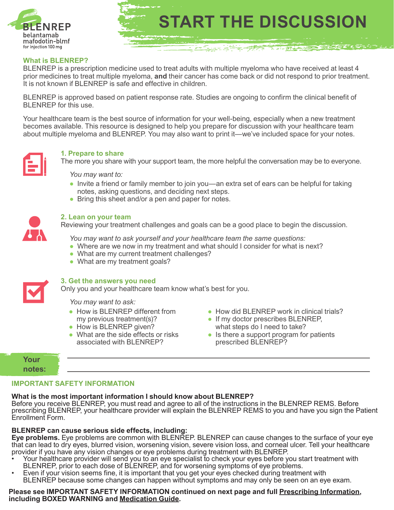

## **What is BLENREP?**

BLENREP is a prescription medicine used to treat adults with multiple myeloma who have received at least 4 prior medicines to treat multiple myeloma, **and** their cancer has come back or did not respond to prior treatment. It is not known if BLENREP is safe and effective in children.

BLENREP is approved based on patient response rate. Studies are ongoing to confirm the clinical benefit of BLENREP for this use.

Your healthcare team is the best source of information for your well-being, especially when a new treatment becomes available. This resource is designed to help you prepare for discussion with your healthcare team about multiple myeloma and BLENREP. You may also want to print it—we've included space for your notes.



#### **1. Prepare to share**

The more you share with your support team, the more helpful the conversation may be to everyone.

*You may want to:*

- Invite a friend or family member to join you—an extra set of ears can be helpful for taking notes, asking questions, and deciding next steps.
- Bring this sheet and/or a pen and paper for notes.



#### **2. Lean on your team**

Reviewing your treatment challenges and goals can be a good place to begin the discussion.

*You may want to ask yourself and your healthcare team the same questions:*

- Where are we now in my treatment and what should I consider for what is next?
- What are my current treatment challenges?
- What are my treatment goals?



#### **3. Get the answers you need**

Only you and your healthcare team know what's best for you.

*You may want to ask:*

- How is BLENREP different from my previous treatment(s)?
- How is BLENREP given?
- What are the side effects or risks associated with BLENREP?
- How did BLENREP work in clinical trials?
- If my doctor prescribes BLENREP, what steps do I need to take?

**START THE DISCUSSION** 

一个字

<u> Dans Marine (1999)</u>

● Is there a support program for patients prescribed BLENREP?

# **Your notes:**

# **IMPORTANT SAFETY INFORMATION**

#### **What is the most important information I should know about BLENREP?**

Before you receive BLENREP, you must read and agree to all of the instructions in the BLENREP REMS. Before prescribing BLENREP, your healthcare provider will explain the BLENREP REMS to you and have you sign the Patient Enrollment Form.

#### **BLENREP can cause serious side effects, including:**

**Eye problems.** Eye problems are common with BLENREP. BLENREP can cause changes to the surface of your eye that can lead to dry eyes, blurred vision, worsening vision, severe vision loss, and corneal ulcer. Tell your healthcare provider if you have any vision changes or eye problems during treatment with BLENREP.

- Your healthcare provider will send you to an eye specialist to check your eyes before you start treatment with<br>BLENREP, prior to each dose of BLENREP, and for worsening symptoms of eye problems.
- Even if your vision seems fine, it is important that you get your eyes checked during treatment with BLENREP because some changes can happen without symptoms and may only be seen on an eye exam.

# Please see IMPORTANT SAFETY INFORMATION continued on next page and full <u>Prescribing Information,</u><br>including BOXED WARNING and <u>Medication Guide</u>.